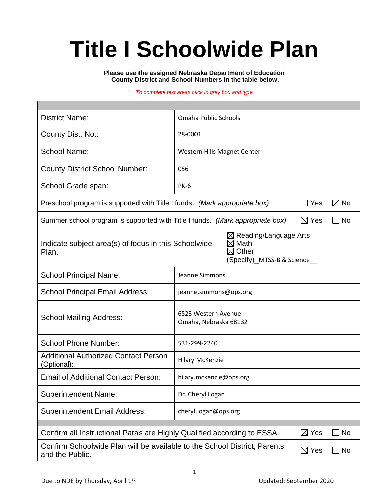# **Title I Schoolwide Plan**

**Please use the assigned Nebraska Department of Education County District and School Numbers in the table below.**

#### *To complete text areas click in grey box and type*

| <b>District Name:</b>                                                                                                        | Omaha Public Schools                                                                                      |     |  |                |  |  |
|------------------------------------------------------------------------------------------------------------------------------|-----------------------------------------------------------------------------------------------------------|-----|--|----------------|--|--|
| County Dist. No.:                                                                                                            | 28-0001                                                                                                   |     |  |                |  |  |
| <b>School Name:</b>                                                                                                          | Western Hills Magnet Center                                                                               |     |  |                |  |  |
| <b>County District School Number:</b>                                                                                        | 056                                                                                                       |     |  |                |  |  |
| School Grade span:                                                                                                           | <b>PK-6</b>                                                                                               |     |  |                |  |  |
| Preschool program is supported with Title I funds. (Mark appropriate box)                                                    |                                                                                                           |     |  | $\boxtimes$ No |  |  |
| Summer school program is supported with Title I funds. (Mark appropriate box)                                                | $\boxtimes$ Yes                                                                                           | No. |  |                |  |  |
| Indicate subject area(s) of focus in this Schoolwide<br>Plan.                                                                | $\boxtimes$ Reading/Language Arts<br>$\boxtimes$ Math<br>$\boxtimes$ Other<br>(Specify)_MTSS-B & Science_ |     |  |                |  |  |
| <b>School Principal Name:</b>                                                                                                | Jeanne Simmons                                                                                            |     |  |                |  |  |
| <b>School Principal Email Address:</b>                                                                                       | jeanne.simmons@ops.org                                                                                    |     |  |                |  |  |
| <b>School Mailing Address:</b>                                                                                               | 6523 Western Avenue<br>Omaha, Nebraska 68132                                                              |     |  |                |  |  |
| <b>School Phone Number:</b>                                                                                                  | 531-299-2240                                                                                              |     |  |                |  |  |
| <b>Additional Authorized Contact Person</b><br>(Optional):                                                                   | <b>Hilary McKenzie</b>                                                                                    |     |  |                |  |  |
| <b>Email of Additional Contact Person:</b>                                                                                   | hilary.mckenzie@ops.org                                                                                   |     |  |                |  |  |
| <b>Superintendent Name:</b>                                                                                                  | Dr. Cheryl Logan                                                                                          |     |  |                |  |  |
| <b>Superintendent Email Address:</b>                                                                                         | cheryl.logan@ops.org                                                                                      |     |  |                |  |  |
| Confirm all Instructional Paras are Highly Qualified according to ESSA.<br>$\boxtimes$ Yes<br>No                             |                                                                                                           |     |  |                |  |  |
|                                                                                                                              |                                                                                                           |     |  |                |  |  |
| Confirm Schoolwide Plan will be available to the School District, Parents<br>$\boxtimes$ Yes<br>$\Box$ No<br>and the Public. |                                                                                                           |     |  |                |  |  |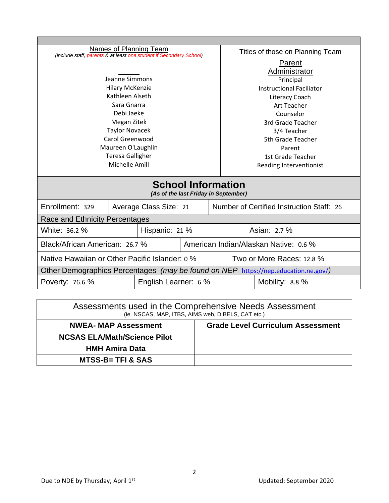| <b>Names of Planning Team</b><br>(include staff, parents & at least one student if Secondary School) |  |                        | Titles of those on Planning Team |                                           |              |                 |  |
|------------------------------------------------------------------------------------------------------|--|------------------------|----------------------------------|-------------------------------------------|--------------|-----------------|--|
|                                                                                                      |  | Parent                 |                                  |                                           |              |                 |  |
|                                                                                                      |  |                        | Administrator                    |                                           |              |                 |  |
| Jeanne Simmons                                                                                       |  |                        | Principal                        |                                           |              |                 |  |
| <b>Hilary McKenzie</b>                                                                               |  |                        | <b>Instructional Faciliator</b>  |                                           |              |                 |  |
| Kathleen Alseth                                                                                      |  |                        | <b>Literacy Coach</b>            |                                           |              |                 |  |
| Sara Gnarra                                                                                          |  |                        |                                  | Art Teacher                               |              |                 |  |
| Debi Jaeke                                                                                           |  |                        | Counselor                        |                                           |              |                 |  |
| Megan Zitek                                                                                          |  |                        |                                  | 3rd Grade Teacher                         |              |                 |  |
| <b>Taylor Novacek</b>                                                                                |  |                        |                                  | 3/4 Teacher                               |              |                 |  |
| Carol Greenwood                                                                                      |  |                        |                                  | 5th Grade Teacher                         |              |                 |  |
| Maureen O'Laughlin                                                                                   |  |                        |                                  | Parent                                    |              |                 |  |
| <b>Teresa Galligher</b>                                                                              |  |                        |                                  | 1st Grade Teacher                         |              |                 |  |
| Michelle Amill                                                                                       |  |                        |                                  | Reading Interventionist                   |              |                 |  |
| <b>School Information</b><br>(As of the last Friday in September)                                    |  |                        |                                  |                                           |              |                 |  |
| Enrollment: 329                                                                                      |  | Average Class Size: 21 |                                  | Number of Certified Instruction Staff: 26 |              |                 |  |
| Race and Ethnicity Percentages                                                                       |  |                        |                                  |                                           |              |                 |  |
| White: 36.2 %                                                                                        |  | Hispanic: 21 %         |                                  |                                           | Asian: 2.7 % |                 |  |
| Black/African American: 26.7 %                                                                       |  |                        |                                  | American Indian/Alaskan Native: 0.6 %     |              |                 |  |
| Native Hawaiian or Other Pacific Islander: 0 %                                                       |  |                        |                                  | Two or More Races: 12.8 %                 |              |                 |  |
| Other Demographics Percentages (may be found on NEP https://nep.education.ne.gov/)                   |  |                        |                                  |                                           |              |                 |  |
| English Learner: 6 %<br>Poverty: 76.6 %                                                              |  |                        |                                  |                                           |              | Mobility: 8.8 % |  |
|                                                                                                      |  |                        |                                  |                                           |              |                 |  |

| Assessments used in the Comprehensive Needs Assessment<br>(ie. NSCAS, MAP, ITBS, AIMS web, DIBELS, CAT etc.) |                                          |  |  |  |
|--------------------------------------------------------------------------------------------------------------|------------------------------------------|--|--|--|
| <b>NWEA- MAP Assessment</b>                                                                                  | <b>Grade Level Curriculum Assessment</b> |  |  |  |
| <b>NCSAS ELA/Math/Science Pilot</b>                                                                          |                                          |  |  |  |
| <b>HMH Amira Data</b>                                                                                        |                                          |  |  |  |
| <b>MTSS-B= TFI &amp; SAS</b>                                                                                 |                                          |  |  |  |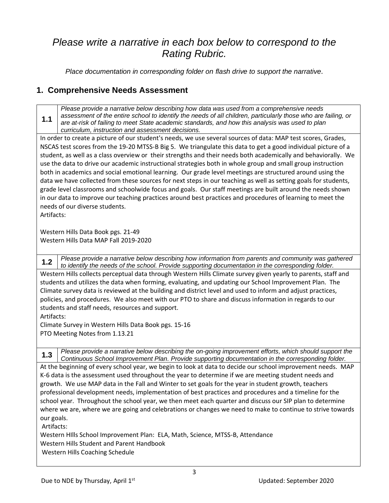## *Please write a narrative in each box below to correspond to the Rating Rubric.*

*Place documentation in corresponding folder on flash drive to support the narrative.*

#### **1. Comprehensive Needs Assessment**

**1.1** *Please provide a narrative below describing how data was used from a comprehensive needs assessment of the entire school to identify the needs of all children, particularly those who are failing, or are at-risk of failing to meet State academic standards, and how this analysis was used to plan curriculum, instruction and assessment decisions.*

In order to create a picture of our student's needs, we use several sources of data: MAP test scores, Grades, NSCAS test scores from the 19-20 MTSS-B Big 5. We triangulate this data to get a good individual picture of a student, as well as a class overview or their strengths and their needs both academically and behaviorally. We use the data to drive our academic instructional strategies both in whole group and small group instruction both in academics and social emotional learning. Our grade level meetings are structured around using the data we have collected from these sources for next steps in our teaching as well as setting goals for students, grade level classrooms and schoolwide focus and goals. Our staff meetings are built around the needs shown in our data to improve our teaching practices around best practices and procedures of learning to meet the needs of our diverse students.

Artifacts:

Western Hills Data Book pgs. 21-49 Western Hills Data MAP Fall 2019-2020

**1.2** *Please provide a narrative below describing how information from parents and community was gathered to identify the needs of the school. Provide supporting documentation in the corresponding folder.*

Western Hills collects perceptual data through Western Hills Climate survey given yearly to parents, staff and students and utilizes the data when forming, evaluating, and updating our School Improvement Plan. The Climate survey data is reviewed at the building and district level and used to inform and adjust practices, policies, and procedures. We also meet with our PTO to share and discuss information in regards to our students and staff needs, resources and support.

Artifacts:

Climate Survey in Western Hills Data Book pgs. 15-16 PTO Meeting Notes from 1.13.21

**1.3** *Please provide a narrative below describing the on-going improvement efforts, which should support the Continuous School Improvement Plan. Provide supporting documentation in the corresponding folder.*

At the beginning of every school year, we begin to look at data to decide our school improvement needs. MAP K-6 data is the assessment used throughout the year to determine if we are meeting student needs and growth. We use MAP data in the Fall and Winter to set goals for the year in student growth, teachers professional development needs, implementation of best practices and procedures and a timeline for the school year. Throughout the school year, we then meet each quarter and discuss our SIP plan to determine where we are, where we are going and celebrations or changes we need to make to continue to strive towards our goals.

Artifacts:

Western HIlls School Improvement Plan: ELA, Math, Science, MTSS-B, Attendance Western Hills Student and Parent Handbook Western Hills Coaching Schedule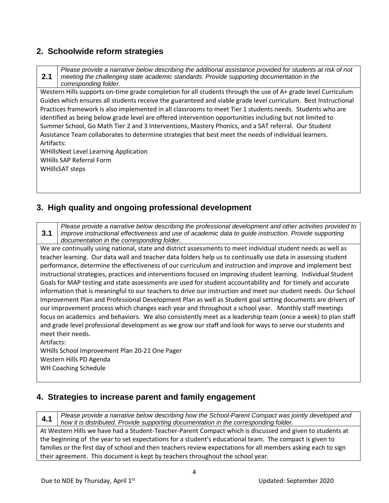#### **2. Schoolwide reform strategies**

**2.1** *Please provide a narrative below describing the additional assistance provided for students at risk of not meeting the challenging state academic standards. Provide supporting documentation in the corresponding folder.*

Western Hills supports on-time grade completion for all students through the use of A+ grade level Curriculum Guides which ensures all students receive the guaranteed and viable grade level curriculum. Best Instructional Practices framework is also implemented in all classrooms to meet Tier 1 students needs. Students who are identified as being below grade level are offered intervention opportunities including but not limited to Summer School, Go Math Tier 2 and 3 Interventions, Mastery Phonics, and a SAT referral. Our Student Assistance Team collaborates to determine strategies that best meet the needs of individual learners. Artifacts:

WHillsNext Level Learning Application WHills SAP Referral Form WHillsSAT steps

#### **3. High quality and ongoing professional development**

**3.1** *Please provide a narrative below describing the professional development and other activities provided to improve instructional effectiveness and use of academic data to guide instruction. Provide supporting documentation in the corresponding folder.*

We are continually using national, state and district assessments to meet individual student needs as well as teacher learning. Our data wall and teacher data folders help us to continually use data in assessing student performance, determine the effectiveness of our curriculum and instruction and improve and implement best instructional strategies, practices and interventions focused on improving student learning. Individual Student Goals for MAP testing and state assessments are used for student accountability and for timely and accurate information that is meaningful to our teachers to drive our instruction and meet our student needs. Our School Improvement Plan and Professional Development Plan as well as Student goal setting documents are drivers of our improvement process which changes each year and throughout a school year. Monthly staff meetings focus on academics and behaviors. We also consistently meet as a leadership team (once a week) to plan staff and grade level professional development as we grow our staff and look for ways to serve our students and meet their needs.

Artifacts: WHills School Improvement Plan 20-21 One Pager Western Hills PD Agenda WH Coaching Schedule

#### **4. Strategies to increase parent and family engagement**

**4.1** *Please provide a narrative below describing how the School-Parent Compact was jointly developed and how it is distributed. Provide supporting documentation in the corresponding folder.*

At Western Hills we have had a Student-Teacher-Parent Compact which is discussed and given to students at the beginning of the year to set expectations for a student's educational team. The compact is given to families or the first day of school and then teachers review expectations for all members asking each to sign their agreement. This document is kept by teachers throughout the school year.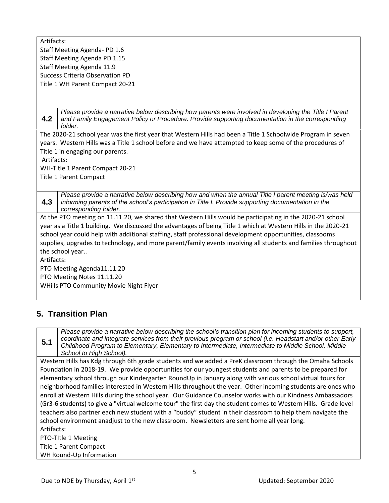Artifacts: Staff Meeting Agenda- PD 1.6 Staff Meeting Agenda PD 1.15 Staff Meeting Agenda 11.9 Success Criteria Observation PD Title 1 WH Parent Compact 20-21

**4.2** *Please provide a narrative below describing how parents were involved in developing the Title I Parent and Family Engagement Policy or Procedure. Provide supporting documentation in the corresponding folder.*

The 2020-21 school year was the first year that Western Hills had been a Title 1 Schoolwide Program in seven years. Western Hills was a Title 1 school before and we have attempted to keep some of the procedures of Title 1 in engaging our parents.

Artifacts:

WH-Title 1 Parent Compact 20-21

Title 1 Parent Compact

**4.3** *Please provide a narrative below describing how and when the annual Title I parent meeting is/was held informing parents of the school's participation in Title I. Provide supporting documentation in the corresponding folder.*

At the PTO meeting on 11.11.20, we shared that Western Hills would be participating in the 2020-21 school year as a Title 1 building. We discussed the advantages of being Title 1 which at Western Hills in the 2020-21 school year could help with additional staffing, staff professional development opportunities, classooms supplies, upgrades to technology, and more parent/family events involving all students and families throughout the school year..

Artifacts:

PTO Meeting Agenda11.11.20 PTO Meeting Notes 11.11.20 WHills PTO Community Movie Night Flyer

### **5. Transition Plan**

**5.1** *Please provide a narrative below describing the school's transition plan for incoming students to support, coordinate and integrate services from their previous program or school (i.e. Headstart and/or other Early Childhood Program to Elementary, Elementary to Intermediate, Intermediate to Middle School, Middle School to High School).*

Western Hills has Kdg through 6th grade students and we added a PreK classroom through the Omaha Schools Foundation in 2018-19. We provide opportunities for our youngest students and parents to be prepared for elementary school through our Kindergarten RoundUp in January along with various school virtual tours for neighborhood families interested in Western Hills throughout the year. Other incoming students are ones who enroll at Western Hills during the school year. Our Guidance Counselor works with our Kindness Ambassadors (Gr3-6 students) to give a "virtual welcome tour" the first day the student comes to Western Hills. Grade level teachers also partner each new student with a "buddy" student in their classroom to help them navigate the school environment anadjust to the new classroom. Newsletters are sent home all year long. Artifacts: PTO-TItle 1 Meeting

Title 1 Parent Compact

WH Round-Up Information